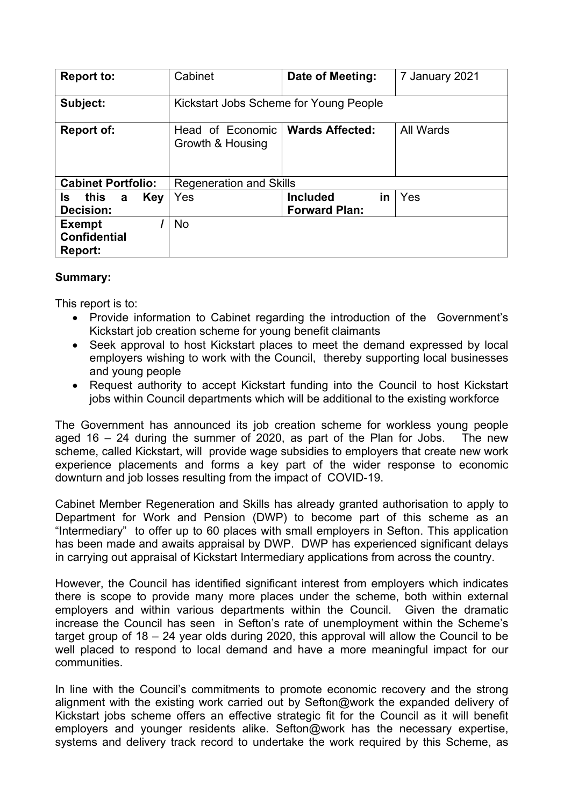| <b>Report to:</b>                               | Cabinet<br>Date of Meeting:<br>7 January 2021                               |                                               |     |  |
|-------------------------------------------------|-----------------------------------------------------------------------------|-----------------------------------------------|-----|--|
| Subject:                                        | Kickstart Jobs Scheme for Young People                                      |                                               |     |  |
| <b>Report of:</b>                               | All Wards<br><b>Wards Affected:</b><br>Head of Economic<br>Growth & Housing |                                               |     |  |
| <b>Cabinet Portfolio:</b>                       | <b>Regeneration and Skills</b>                                              |                                               |     |  |
| this<br>Key<br>ls.<br>a<br>Decision:            | Yes                                                                         | in<br><b>Included</b><br><b>Forward Plan:</b> | Yes |  |
| <b>Exempt</b><br><b>Confidential</b><br>Report: | <b>No</b>                                                                   |                                               |     |  |

### **Summary:**

This report is to:

- Provide information to Cabinet regarding the introduction of the Government's Kickstart job creation scheme for young benefit claimants
- Seek approval to host Kickstart places to meet the demand expressed by local employers wishing to work with the Council, thereby supporting local businesses and young people
- Request authority to accept Kickstart funding into the Council to host Kickstart jobs within Council departments which will be additional to the existing workforce

The Government has announced its job creation scheme for workless young people aged 16 – 24 during the summer of 2020, as part of the Plan for Jobs. The new scheme, called Kickstart, will provide wage subsidies to employers that create new work experience placements and forms a key part of the wider response to economic downturn and job losses resulting from the impact of COVID-19.

Cabinet Member Regeneration and Skills has already granted authorisation to apply to Department for Work and Pension (DWP) to become part of this scheme as an "Intermediary" to offer up to 60 places with small employers in Sefton. This application has been made and awaits appraisal by DWP. DWP has experienced significant delays in carrying out appraisal of Kickstart Intermediary applications from across the country.

However, the Council has identified significant interest from employers which indicates there is scope to provide many more places under the scheme, both within external employers and within various departments within the Council. Given the dramatic increase the Council has seen in Sefton's rate of unemployment within the Scheme's target group of 18 – 24 year olds during 2020, this approval will allow the Council to be well placed to respond to local demand and have a more meaningful impact for our communities.

In line with the Council's commitments to promote economic recovery and the strong alignment with the existing work carried out by Sefton@work the expanded delivery of Kickstart jobs scheme offers an effective strategic fit for the Council as it will benefit employers and younger residents alike. Sefton@work has the necessary expertise, systems and delivery track record to undertake the work required by this Scheme, as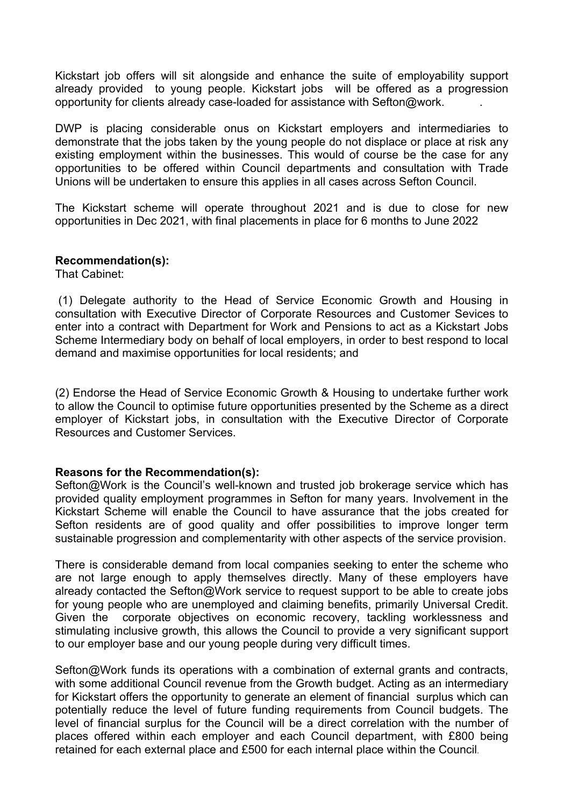Kickstart job offers will sit alongside and enhance the suite of employability support already provided to young people. Kickstart jobs will be offered as a progression opportunity for clients already case-loaded for assistance with Sefton@work. .

DWP is placing considerable onus on Kickstart employers and intermediaries to demonstrate that the jobs taken by the young people do not displace or place at risk any existing employment within the businesses. This would of course be the case for any opportunities to be offered within Council departments and consultation with Trade Unions will be undertaken to ensure this applies in all cases across Sefton Council.

The Kickstart scheme will operate throughout 2021 and is due to close for new opportunities in Dec 2021, with final placements in place for 6 months to June 2022

#### **Recommendation(s):**

That Cabinet:

(1) Delegate authority to the Head of Service Economic Growth and Housing in consultation with Executive Director of Corporate Resources and Customer Sevices to enter into a contract with Department for Work and Pensions to act as a Kickstart Jobs Scheme Intermediary body on behalf of local employers, in order to best respond to local demand and maximise opportunities for local residents; and

(2) Endorse the Head of Service Economic Growth & Housing to undertake further work to allow the Council to optimise future opportunities presented by the Scheme as a direct employer of Kickstart jobs, in consultation with the Executive Director of Corporate Resources and Customer Services.

### **Reasons for the Recommendation(s):**

Sefton@Work is the Council's well-known and trusted job brokerage service which has provided quality employment programmes in Sefton for many years. Involvement in the Kickstart Scheme will enable the Council to have assurance that the jobs created for Sefton residents are of good quality and offer possibilities to improve longer term sustainable progression and complementarity with other aspects of the service provision.

There is considerable demand from local companies seeking to enter the scheme who are not large enough to apply themselves directly. Many of these employers have already contacted the Sefton@Work service to request support to be able to create jobs for young people who are unemployed and claiming benefits, primarily Universal Credit. Given the corporate objectives on economic recovery, tackling worklessness and stimulating inclusive growth, this allows the Council to provide a very significant support to our employer base and our young people during very difficult times.

Sefton@Work funds its operations with a combination of external grants and contracts, with some additional Council revenue from the Growth budget. Acting as an intermediary for Kickstart offers the opportunity to generate an element of financial surplus which can potentially reduce the level of future funding requirements from Council budgets. The level of financial surplus for the Council will be a direct correlation with the number of places offered within each employer and each Council department, with £800 being retained for each external place and £500 for each internal place within the Council.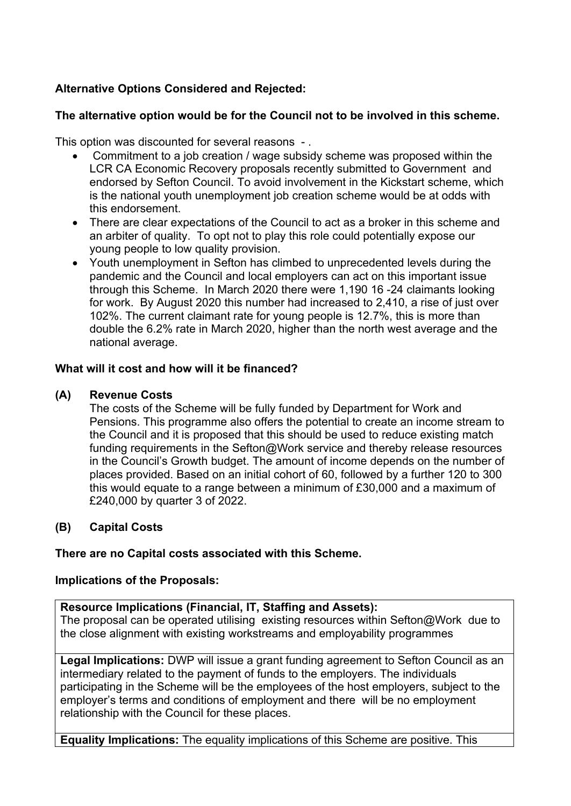# **Alternative Options Considered and Rejected:**

## **The alternative option would be for the Council not to be involved in this scheme.**

This option was discounted for several reasons - .

- Commitment to a job creation / wage subsidy scheme was proposed within the LCR CA Economic Recovery proposals recently submitted to Government and endorsed by Sefton Council. To avoid involvement in the Kickstart scheme, which is the national youth unemployment job creation scheme would be at odds with this endorsement.
- There are clear expectations of the Council to act as a broker in this scheme and an arbiter of quality. To opt not to play this role could potentially expose our young people to low quality provision.
- Youth unemployment in Sefton has climbed to unprecedented levels during the pandemic and the Council and local employers can act on this important issue through this Scheme. In March 2020 there were 1,190 16 -24 claimants looking for work. By August 2020 this number had increased to 2,410, a rise of just over 102%. The current claimant rate for young people is 12.7%, this is more than double the 6.2% rate in March 2020, higher than the north west average and the national average.

### **What will it cost and how will it be financed?**

### **(A) Revenue Costs**

The costs of the Scheme will be fully funded by Department for Work and Pensions. This programme also offers the potential to create an income stream to the Council and it is proposed that this should be used to reduce existing match funding requirements in the Sefton@Work service and thereby release resources in the Council's Growth budget. The amount of income depends on the number of places provided. Based on an initial cohort of 60, followed by a further 120 to 300 this would equate to a range between a minimum of £30,000 and a maximum of £240,000 by quarter 3 of 2022.

# **(B) Capital Costs**

### **There are no Capital costs associated with this Scheme.**

### **Implications of the Proposals:**

### **Resource Implications (Financial, IT, Staffing and Assets):**

The proposal can be operated utilising existing resources within Sefton@Work due to the close alignment with existing workstreams and employability programmes

**Legal Implications:** DWP will issue a grant funding agreement to Sefton Council as an intermediary related to the payment of funds to the employers. The individuals participating in the Scheme will be the employees of the host employers, subject to the employer's terms and conditions of employment and there will be no employment relationship with the Council for these places.

**Equality Implications:** The equality implications of this Scheme are positive. This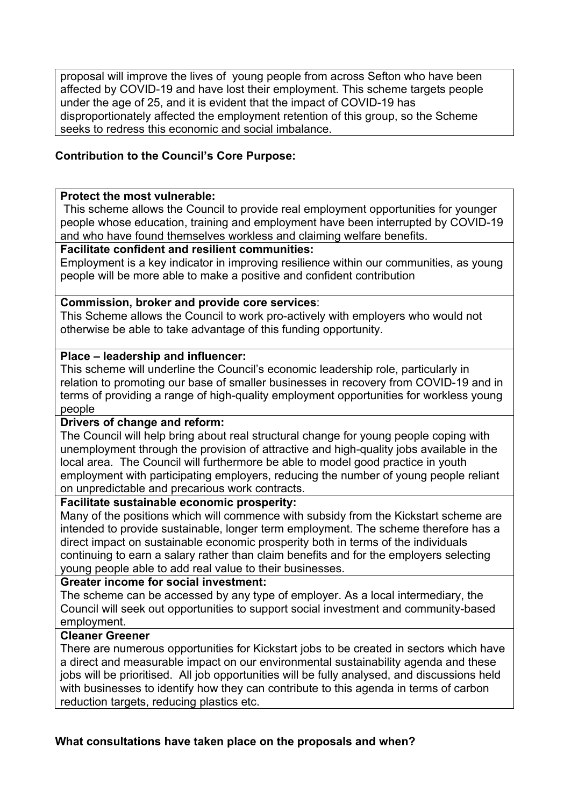proposal will improve the lives of young people from across Sefton who have been affected by COVID-19 and have lost their employment. This scheme targets people under the age of 25, and it is evident that the impact of COVID-19 has disproportionately affected the employment retention of this group, so the Scheme seeks to redress this economic and social imbalance.

### **Contribution to the Council's Core Purpose:**

#### **Protect the most vulnerable:**

This scheme allows the Council to provide real employment opportunities for younger people whose education, training and employment have been interrupted by COVID-19 and who have found themselves workless and claiming welfare benefits.

### **Facilitate confident and resilient communities:**

Employment is a key indicator in improving resilience within our communities, as young people will be more able to make a positive and confident contribution

### **Commission, broker and provide core services**:

This Scheme allows the Council to work pro-actively with employers who would not otherwise be able to take advantage of this funding opportunity.

#### **Place – leadership and influencer:**

This scheme will underline the Council's economic leadership role, particularly in relation to promoting our base of smaller businesses in recovery from COVID-19 and in terms of providing a range of high-quality employment opportunities for workless young people

### **Drivers of change and reform:**

The Council will help bring about real structural change for young people coping with unemployment through the provision of attractive and high-quality jobs available in the local area. The Council will furthermore be able to model good practice in youth employment with participating employers, reducing the number of young people reliant on unpredictable and precarious work contracts.

# **Facilitate sustainable economic prosperity:**

Many of the positions which will commence with subsidy from the Kickstart scheme are intended to provide sustainable, longer term employment. The scheme therefore has a direct impact on sustainable economic prosperity both in terms of the individuals continuing to earn a salary rather than claim benefits and for the employers selecting young people able to add real value to their businesses.

### **Greater income for social investment:**

The scheme can be accessed by any type of employer. As a local intermediary, the Council will seek out opportunities to support social investment and community-based employment.

### **Cleaner Greener**

There are numerous opportunities for Kickstart jobs to be created in sectors which have a direct and measurable impact on our environmental sustainability agenda and these jobs will be prioritised. All job opportunities will be fully analysed, and discussions held with businesses to identify how they can contribute to this agenda in terms of carbon reduction targets, reducing plastics etc.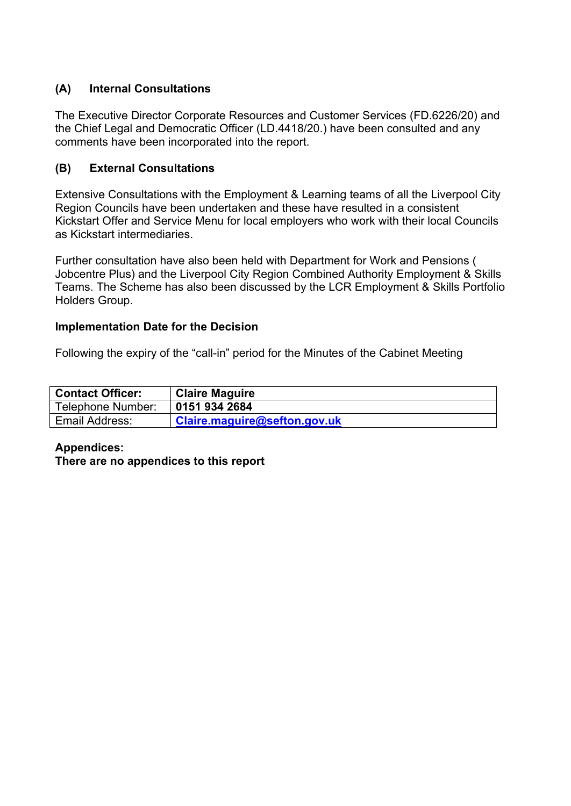# **(A) Internal Consultations**

The Executive Director Corporate Resources and Customer Services (FD.6226/20) and the Chief Legal and Democratic Officer (LD.4418/20.) have been consulted and any comments have been incorporated into the report.

# **(B) External Consultations**

Extensive Consultations with the Employment & Learning teams of all the Liverpool City Region Councils have been undertaken and these have resulted in a consistent Kickstart Offer and Service Menu for local employers who work with their local Councils as Kickstart intermediaries.

Further consultation have also been held with Department for Work and Pensions ( Jobcentre Plus) and the Liverpool City Region Combined Authority Employment & Skills Teams. The Scheme has also been discussed by the LCR Employment & Skills Portfolio Holders Group.

### **Implementation Date for the Decision**

Following the expiry of the "call-in" period for the Minutes of the Cabinet Meeting

| <b>Contact Officer:</b> | <b>Claire Maguire</b>        |
|-------------------------|------------------------------|
| Telephone Number:       | 0151 934 2684                |
| Email Address:          | Claire.maguire@sefton.gov.uk |

# **Appendices:**

**There are no appendices to this report**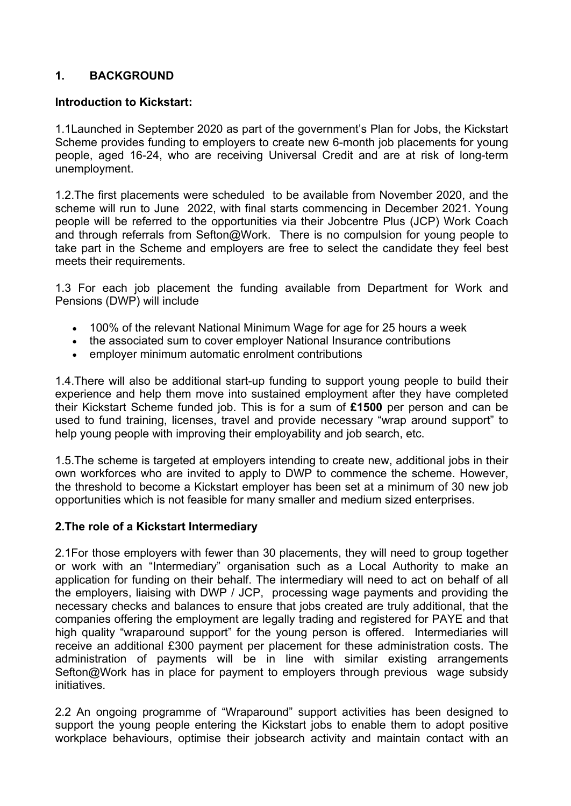# **1. BACKGROUND**

### **Introduction to Kickstart:**

1.1Launched in September 2020 as part of the government's Plan for Jobs, the Kickstart Scheme provides funding to employers to create new 6-month job placements for young people, aged 16-24, who are receiving Universal Credit and are at risk of long-term unemployment.

1.2.The first placements were scheduled to be available from November 2020, and the scheme will run to June 2022, with final starts commencing in December 2021. Young people will be referred to the opportunities via their Jobcentre Plus (JCP) Work Coach and through referrals from Sefton@Work. There is no compulsion for young people to take part in the Scheme and employers are free to select the candidate they feel best meets their requirements.

1.3 For each job placement the funding available from Department for Work and Pensions (DWP) will include

- 100% of the relevant National Minimum Wage for age for 25 hours a week
- the associated sum to cover employer National Insurance contributions
- employer minimum automatic enrolment contributions

1.4.There will also be additional start-up funding to support young people to build their experience and help them move into sustained employment after they have completed their Kickstart Scheme funded job. This is for a sum of **£1500** per person and can be used to fund training, licenses, travel and provide necessary "wrap around support" to help young people with improving their employability and job search, etc.

1.5.The scheme is targeted at employers intending to create new, additional jobs in their own workforces who are invited to apply to DWP to commence the scheme. However, the threshold to become a Kickstart employer has been set at a minimum of 30 new job opportunities which is not feasible for many smaller and medium sized enterprises.

# **2.The role of a Kickstart Intermediary**

2.1For those employers with fewer than 30 placements, they will need to group together or work with an "Intermediary" organisation such as a Local Authority to make an application for funding on their behalf. The intermediary will need to act on behalf of all the employers, liaising with DWP / JCP, processing wage payments and providing the necessary checks and balances to ensure that jobs created are truly additional, that the companies offering the employment are legally trading and registered for PAYE and that high quality "wraparound support" for the young person is offered. Intermediaries will receive an additional £300 payment per placement for these administration costs. The administration of payments will be in line with similar existing arrangements Sefton@Work has in place for payment to employers through previous wage subsidy initiatives.

2.2 An ongoing programme of "Wraparound" support activities has been designed to support the young people entering the Kickstart jobs to enable them to adopt positive workplace behaviours, optimise their jobsearch activity and maintain contact with an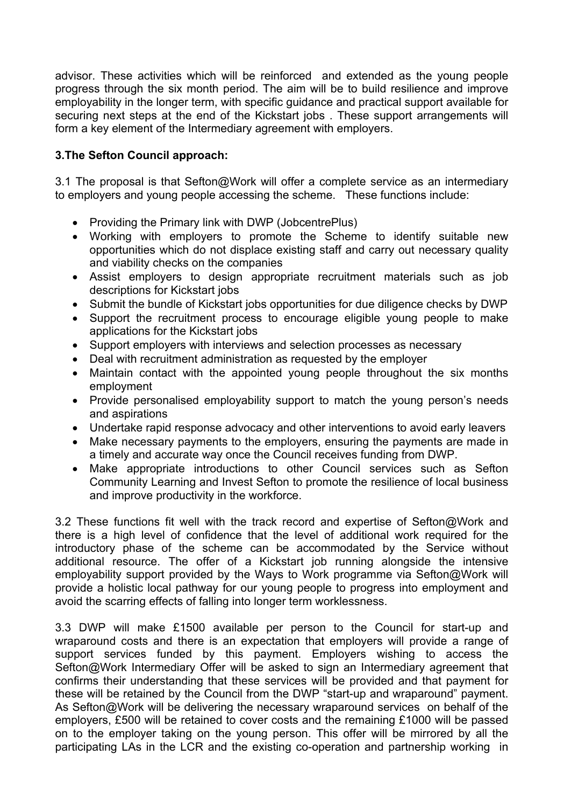advisor. These activities which will be reinforced and extended as the young people progress through the six month period. The aim will be to build resilience and improve employability in the longer term, with specific guidance and practical support available for securing next steps at the end of the Kickstart jobs . These support arrangements will form a key element of the Intermediary agreement with employers.

## **3.The Sefton Council approach:**

3.1 The proposal is that Sefton@Work will offer a complete service as an intermediary to employers and young people accessing the scheme. These functions include:

- Providing the Primary link with DWP (JobcentrePlus)
- Working with employers to promote the Scheme to identify suitable new opportunities which do not displace existing staff and carry out necessary quality and viability checks on the companies
- Assist employers to design appropriate recruitment materials such as job descriptions for Kickstart jobs
- Submit the bundle of Kickstart jobs opportunities for due diligence checks by DWP
- Support the recruitment process to encourage eligible young people to make applications for the Kickstart jobs
- Support employers with interviews and selection processes as necessary
- Deal with recruitment administration as requested by the employer
- Maintain contact with the appointed young people throughout the six months employment
- Provide personalised employability support to match the young person's needs and aspirations
- Undertake rapid response advocacy and other interventions to avoid early leavers
- Make necessary payments to the employers, ensuring the payments are made in a timely and accurate way once the Council receives funding from DWP.
- Make appropriate introductions to other Council services such as Sefton Community Learning and Invest Sefton to promote the resilience of local business and improve productivity in the workforce.

3.2 These functions fit well with the track record and expertise of Sefton@Work and there is a high level of confidence that the level of additional work required for the introductory phase of the scheme can be accommodated by the Service without additional resource. The offer of a Kickstart job running alongside the intensive employability support provided by the Ways to Work programme via Sefton@Work will provide a holistic local pathway for our young people to progress into employment and avoid the scarring effects of falling into longer term worklessness.

3.3 DWP will make £1500 available per person to the Council for start-up and wraparound costs and there is an expectation that employers will provide a range of support services funded by this payment. Employers wishing to access the Sefton@Work Intermediary Offer will be asked to sign an Intermediary agreement that confirms their understanding that these services will be provided and that payment for these will be retained by the Council from the DWP "start-up and wraparound" payment. As Sefton@Work will be delivering the necessary wraparound services on behalf of the employers, £500 will be retained to cover costs and the remaining £1000 will be passed on to the employer taking on the young person. This offer will be mirrored by all the participating LAs in the LCR and the existing co-operation and partnership working in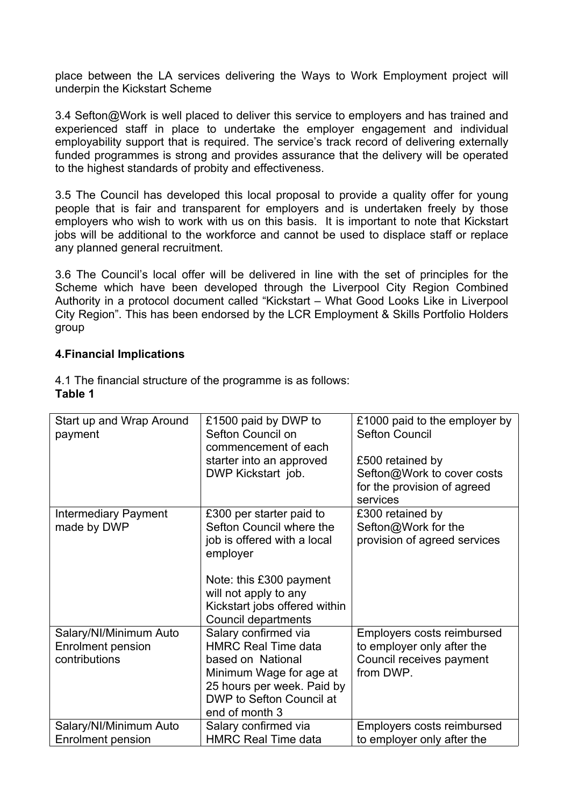place between the LA services delivering the Ways to Work Employment project will underpin the Kickstart Scheme

3.4 Sefton@Work is well placed to deliver this service to employers and has trained and experienced staff in place to undertake the employer engagement and individual employability support that is required. The service's track record of delivering externally funded programmes is strong and provides assurance that the delivery will be operated to the highest standards of probity and effectiveness.

3.5 The Council has developed this local proposal to provide a quality offer for young people that is fair and transparent for employers and is undertaken freely by those employers who wish to work with us on this basis. It is important to note that Kickstart jobs will be additional to the workforce and cannot be used to displace staff or replace any planned general recruitment.

3.6 The Council's local offer will be delivered in line with the set of principles for the Scheme which have been developed through the Liverpool City Region Combined Authority in a protocol document called "Kickstart – What Good Looks Like in Liverpool City Region". This has been endorsed by the LCR Employment & Skills Portfolio Holders group

### **4.Financial Implications**

| Start up and Wrap Around<br>payment                                 | £1500 paid by DWP to<br>Sefton Council on<br>commencement of each<br>starter into an approved<br>DWP Kickstart job.                                                                                                | £1000 paid to the employer by<br><b>Sefton Council</b><br>£500 retained by<br>Sefton@Work to cover costs<br>for the provision of agreed<br>services |
|---------------------------------------------------------------------|--------------------------------------------------------------------------------------------------------------------------------------------------------------------------------------------------------------------|-----------------------------------------------------------------------------------------------------------------------------------------------------|
| <b>Intermediary Payment</b><br>made by DWP                          | £300 per starter paid to<br>Sefton Council where the<br>job is offered with a local<br>employer<br>Note: this £300 payment<br>will not apply to any<br>Kickstart jobs offered within<br><b>Council departments</b> | £300 retained by<br>Sefton@Work for the<br>provision of agreed services                                                                             |
| Salary/NI/Minimum Auto<br><b>Enrolment pension</b><br>contributions | Salary confirmed via<br><b>HMRC Real Time data</b><br>based on National<br>Minimum Wage for age at<br>25 hours per week. Paid by<br>DWP to Sefton Council at<br>end of month 3                                     | Employers costs reimbursed<br>to employer only after the<br>Council receives payment<br>from DWP.                                                   |
| Salary/NI/Minimum Auto<br><b>Enrolment pension</b>                  | Salary confirmed via<br><b>HMRC Real Time data</b>                                                                                                                                                                 | Employers costs reimbursed<br>to employer only after the                                                                                            |

4.1 The financial structure of the programme is as follows: **Table 1**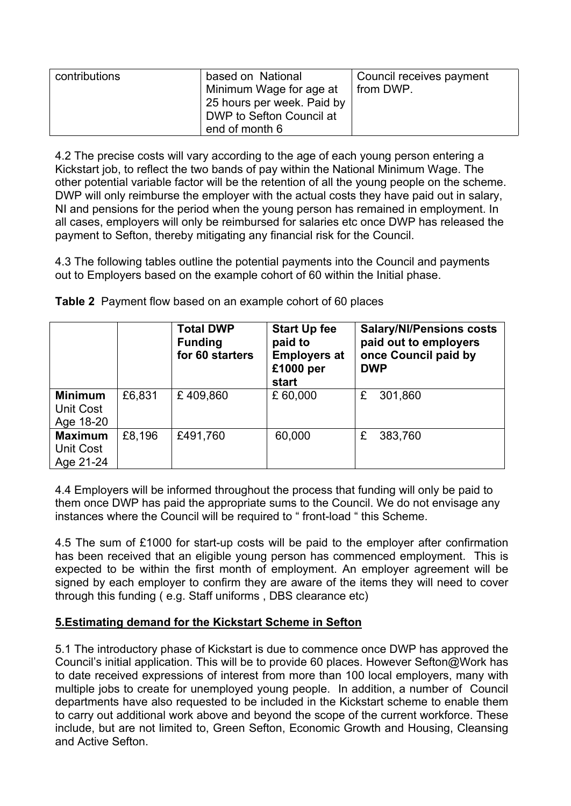| contributions | based on National                       | Council receives payment |
|---------------|-----------------------------------------|--------------------------|
|               | Minimum Wage for age at                 | <sup>1</sup> from DWP.   |
|               | $^{\dagger}$ 25 hours per week. Paid by |                          |
|               | DWP to Sefton Council at                |                          |
|               | end of month 6                          |                          |

4.2 The precise costs will vary according to the age of each young person entering a Kickstart job, to reflect the two bands of pay within the National Minimum Wage. The other potential variable factor will be the retention of all the young people on the scheme. DWP will only reimburse the employer with the actual costs they have paid out in salary, NI and pensions for the period when the young person has remained in employment. In all cases, employers will only be reimbursed for salaries etc once DWP has released the payment to Sefton, thereby mitigating any financial risk for the Council.

4.3 The following tables outline the potential payments into the Council and payments out to Employers based on the example cohort of 60 within the Initial phase.

|                                          |        | <b>Total DWP</b><br><b>Funding</b><br>for 60 starters | <b>Start Up fee</b><br>paid to<br><b>Employers at</b><br>£1000 per<br>start | <b>Salary/NI/Pensions costs</b><br>paid out to employers<br>once Council paid by<br><b>DWP</b> |
|------------------------------------------|--------|-------------------------------------------------------|-----------------------------------------------------------------------------|------------------------------------------------------------------------------------------------|
| <b>Minimum</b><br>Unit Cost<br>Age 18-20 | £6,831 | £409,860                                              | £ 60,000                                                                    | £<br>301,860                                                                                   |
| <b>Maximum</b><br>Unit Cost<br>Age 21-24 | £8,196 | £491,760                                              | 60,000                                                                      | £<br>383,760                                                                                   |

**Table 2** Payment flow based on an example cohort of 60 places

4.4 Employers will be informed throughout the process that funding will only be paid to them once DWP has paid the appropriate sums to the Council. We do not envisage any instances where the Council will be required to " front-load " this Scheme.

4.5 The sum of £1000 for start-up costs will be paid to the employer after confirmation has been received that an eligible young person has commenced employment. This is expected to be within the first month of employment. An employer agreement will be signed by each employer to confirm they are aware of the items they will need to cover through this funding ( e.g. Staff uniforms , DBS clearance etc)

# **5.Estimating demand for the Kickstart Scheme in Sefton**

5.1 The introductory phase of Kickstart is due to commence once DWP has approved the Council's initial application. This will be to provide 60 places. However Sefton@Work has to date received expressions of interest from more than 100 local employers, many with multiple jobs to create for unemployed young people. In addition, a number of Council departments have also requested to be included in the Kickstart scheme to enable them to carry out additional work above and beyond the scope of the current workforce. These include, but are not limited to, Green Sefton, Economic Growth and Housing, Cleansing and Active Sefton.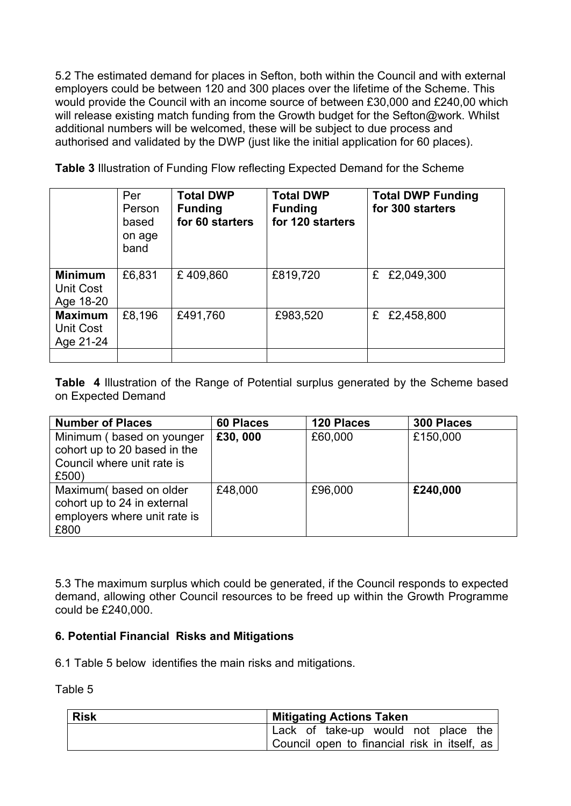5.2 The estimated demand for places in Sefton, both within the Council and with external employers could be between 120 and 300 places over the lifetime of the Scheme. This would provide the Council with an income source of between £30,000 and £240,00 which will release existing match funding from the Growth budget for the Sefton@work. Whilst additional numbers will be welcomed, these will be subject to due process and authorised and validated by the DWP (just like the initial application for 60 places).

**Table 3** Illustration of Funding Flow reflecting Expected Demand for the Scheme

|                                          | Per<br>Person<br>based<br>on age<br>band | <b>Total DWP</b><br><b>Funding</b><br>for 60 starters | <b>Total DWP</b><br><b>Funding</b><br>for 120 starters | <b>Total DWP Funding</b><br>for 300 starters |
|------------------------------------------|------------------------------------------|-------------------------------------------------------|--------------------------------------------------------|----------------------------------------------|
| <b>Minimum</b><br>Unit Cost<br>Age 18-20 | £6,831                                   | £409,860                                              | £819,720                                               | £2,049,300<br>£                              |
| <b>Maximum</b><br>Unit Cost<br>Age 21-24 | £8,196                                   | £491,760                                              | £983,520                                               | £2,458,800<br>£                              |
|                                          |                                          |                                                       |                                                        |                                              |

**Table 4** Illustration of the Range of Potential surplus generated by the Scheme based on Expected Demand

| <b>Number of Places</b>                                                                       | <b>60 Places</b> | 120 Places | 300 Places |
|-----------------------------------------------------------------------------------------------|------------------|------------|------------|
| Minimum (based on younger<br>cohort up to 20 based in the                                     | £30,000          | £60,000    | £150,000   |
| Council where unit rate is<br>£500)                                                           |                  |            |            |
| Maximum(based on older<br>cohort up to 24 in external<br>employers where unit rate is<br>£800 | £48,000          | £96,000    | £240,000   |

5.3 The maximum surplus which could be generated, if the Council responds to expected demand, allowing other Council resources to be freed up within the Growth Programme could be £240,000.

# **6. Potential Financial Risks and Mitigations**

6.1 Table 5 below identifies the main risks and mitigations.

Table 5

| Risk | <b>Mitigating Actions Taken</b>                           |
|------|-----------------------------------------------------------|
|      | $^{\shortmid}$ Lack of take-up would not place the $\mid$ |
|      | $\,$ Council open to financial risk in itself, as $\,$    |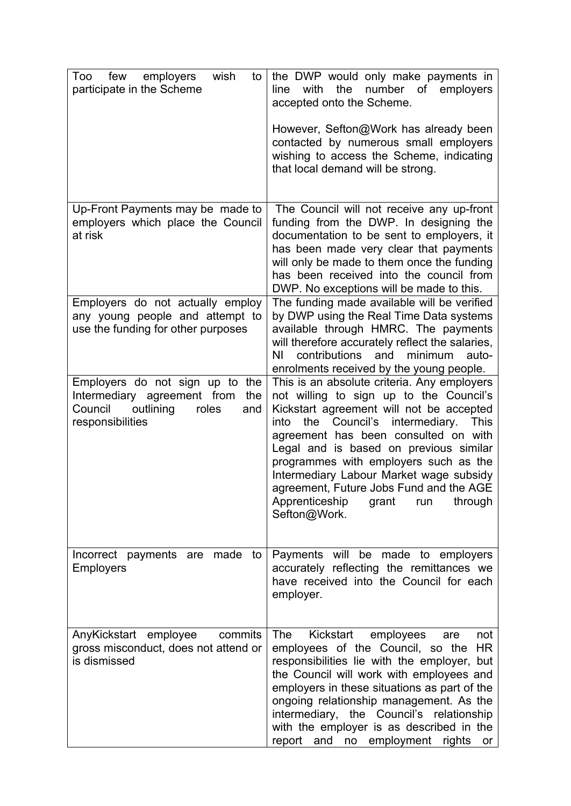| few<br>employers<br>wish<br>Too<br>to<br>participate in the Scheme                                                                | the DWP would only make payments in<br>the<br>number of employers<br>with<br>line<br>accepted onto the Scheme.                                                                                                                                                                                                                                                                                                                                                  |
|-----------------------------------------------------------------------------------------------------------------------------------|-----------------------------------------------------------------------------------------------------------------------------------------------------------------------------------------------------------------------------------------------------------------------------------------------------------------------------------------------------------------------------------------------------------------------------------------------------------------|
|                                                                                                                                   | However, Sefton@Work has already been<br>contacted by numerous small employers<br>wishing to access the Scheme, indicating<br>that local demand will be strong.                                                                                                                                                                                                                                                                                                 |
| Up-Front Payments may be made to<br>employers which place the Council<br>at risk                                                  | The Council will not receive any up-front<br>funding from the DWP. In designing the<br>documentation to be sent to employers, it<br>has been made very clear that payments<br>will only be made to them once the funding<br>has been received into the council from<br>DWP. No exceptions will be made to this.                                                                                                                                                 |
| Employers do not actually employ<br>any young people and attempt to<br>use the funding for other purposes                         | The funding made available will be verified<br>by DWP using the Real Time Data systems<br>available through HMRC. The payments<br>will therefore accurately reflect the salaries,<br>contributions and<br>minimum<br>ΝI<br>auto-<br>enrolments received by the young people.                                                                                                                                                                                    |
| Employers do not sign up to the<br>Intermediary agreement from<br>the<br>outlining<br>Council<br>roles<br>and<br>responsibilities | This is an absolute criteria. Any employers<br>not willing to sign up to the Council's<br>Kickstart agreement will not be accepted<br>the Council's intermediary.<br>into<br>This<br>agreement has been consulted on with<br>Legal and is based on previous similar<br>programmes with employers such as the<br>Intermediary Labour Market wage subsidy<br>agreement, Future Jobs Fund and the AGE<br>Apprenticeship<br>grant<br>run<br>through<br>Sefton@Work. |
| Incorrect payments are made to<br><b>Employers</b>                                                                                | Payments will be made to employers<br>accurately reflecting the remittances we<br>have received into the Council for each<br>employer.                                                                                                                                                                                                                                                                                                                          |
| commits<br>AnyKickstart employee<br>gross misconduct, does not attend or<br>is dismissed                                          | Kickstart<br>The<br>employees<br>are<br>not<br>employees of the Council, so the HR<br>responsibilities lie with the employer, but<br>the Council will work with employees and<br>employers in these situations as part of the<br>ongoing relationship management. As the<br>intermediary, the Council's relationship<br>with the employer is as described in the<br>employment<br>report<br>and<br>no<br>rights<br>or                                           |